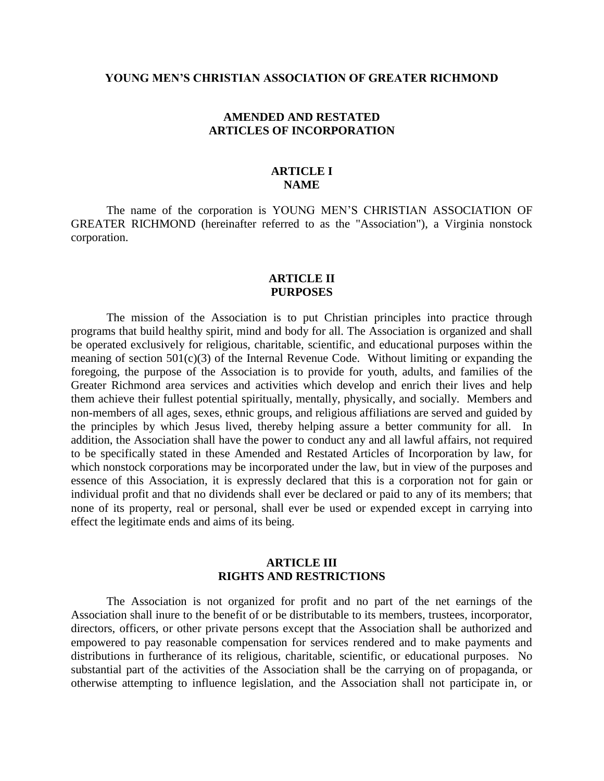#### **YOUNG MEN'S CHRISTIAN ASSOCIATION OF GREATER RICHMOND**

## **AMENDED AND RESTATED ARTICLES OF INCORPORATION**

# **ARTICLE I NAME**

The name of the corporation is YOUNG MEN'S CHRISTIAN ASSOCIATION OF GREATER RICHMOND (hereinafter referred to as the "Association"), a Virginia nonstock corporation.

## **ARTICLE II PURPOSES**

The mission of the Association is to put Christian principles into practice through programs that build healthy spirit, mind and body for all. The Association is organized and shall be operated exclusively for religious, charitable, scientific, and educational purposes within the meaning of section  $501(c)(3)$  of the Internal Revenue Code. Without limiting or expanding the foregoing, the purpose of the Association is to provide for youth, adults, and families of the Greater Richmond area services and activities which develop and enrich their lives and help them achieve their fullest potential spiritually, mentally, physically, and socially. Members and non-members of all ages, sexes, ethnic groups, and religious affiliations are served and guided by the principles by which Jesus lived, thereby helping assure a better community for all. In addition, the Association shall have the power to conduct any and all lawful affairs, not required to be specifically stated in these Amended and Restated Articles of Incorporation by law, for which nonstock corporations may be incorporated under the law, but in view of the purposes and essence of this Association, it is expressly declared that this is a corporation not for gain or individual profit and that no dividends shall ever be declared or paid to any of its members; that none of its property, real or personal, shall ever be used or expended except in carrying into effect the legitimate ends and aims of its being.

### **ARTICLE III RIGHTS AND RESTRICTIONS**

The Association is not organized for profit and no part of the net earnings of the Association shall inure to the benefit of or be distributable to its members, trustees, incorporator, directors, officers, or other private persons except that the Association shall be authorized and empowered to pay reasonable compensation for services rendered and to make payments and distributions in furtherance of its religious, charitable, scientific, or educational purposes. No substantial part of the activities of the Association shall be the carrying on of propaganda, or otherwise attempting to influence legislation, and the Association shall not participate in, or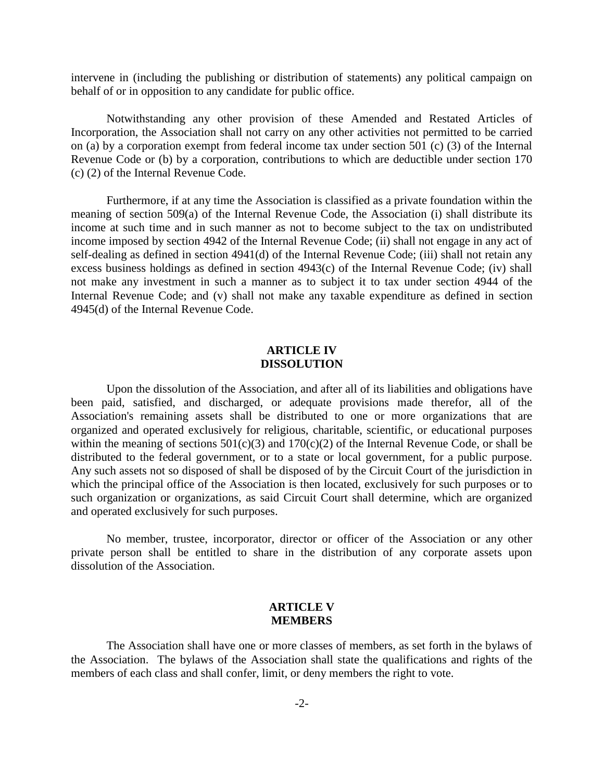intervene in (including the publishing or distribution of statements) any political campaign on behalf of or in opposition to any candidate for public office.

Notwithstanding any other provision of these Amended and Restated Articles of Incorporation, the Association shall not carry on any other activities not permitted to be carried on (a) by a corporation exempt from federal income tax under section 501 (c) (3) of the Internal Revenue Code or (b) by a corporation, contributions to which are deductible under section 170 (c) (2) of the Internal Revenue Code.

Furthermore, if at any time the Association is classified as a private foundation within the meaning of section 509(a) of the Internal Revenue Code, the Association (i) shall distribute its income at such time and in such manner as not to become subject to the tax on undistributed income imposed by section 4942 of the Internal Revenue Code; (ii) shall not engage in any act of self-dealing as defined in section 4941(d) of the Internal Revenue Code; (iii) shall not retain any excess business holdings as defined in section 4943(c) of the Internal Revenue Code; (iv) shall not make any investment in such a manner as to subject it to tax under section 4944 of the Internal Revenue Code; and (v) shall not make any taxable expenditure as defined in section 4945(d) of the Internal Revenue Code.

## **ARTICLE IV DISSOLUTION**

Upon the dissolution of the Association, and after all of its liabilities and obligations have been paid, satisfied, and discharged, or adequate provisions made therefor, all of the Association's remaining assets shall be distributed to one or more organizations that are organized and operated exclusively for religious, charitable, scientific, or educational purposes within the meaning of sections  $501(c)(3)$  and  $170(c)(2)$  of the Internal Revenue Code, or shall be distributed to the federal government, or to a state or local government, for a public purpose. Any such assets not so disposed of shall be disposed of by the Circuit Court of the jurisdiction in which the principal office of the Association is then located, exclusively for such purposes or to such organization or organizations, as said Circuit Court shall determine, which are organized and operated exclusively for such purposes.

No member, trustee, incorporator, director or officer of the Association or any other private person shall be entitled to share in the distribution of any corporate assets upon dissolution of the Association.

### **ARTICLE V MEMBERS**

The Association shall have one or more classes of members, as set forth in the bylaws of the Association. The bylaws of the Association shall state the qualifications and rights of the members of each class and shall confer, limit, or deny members the right to vote.